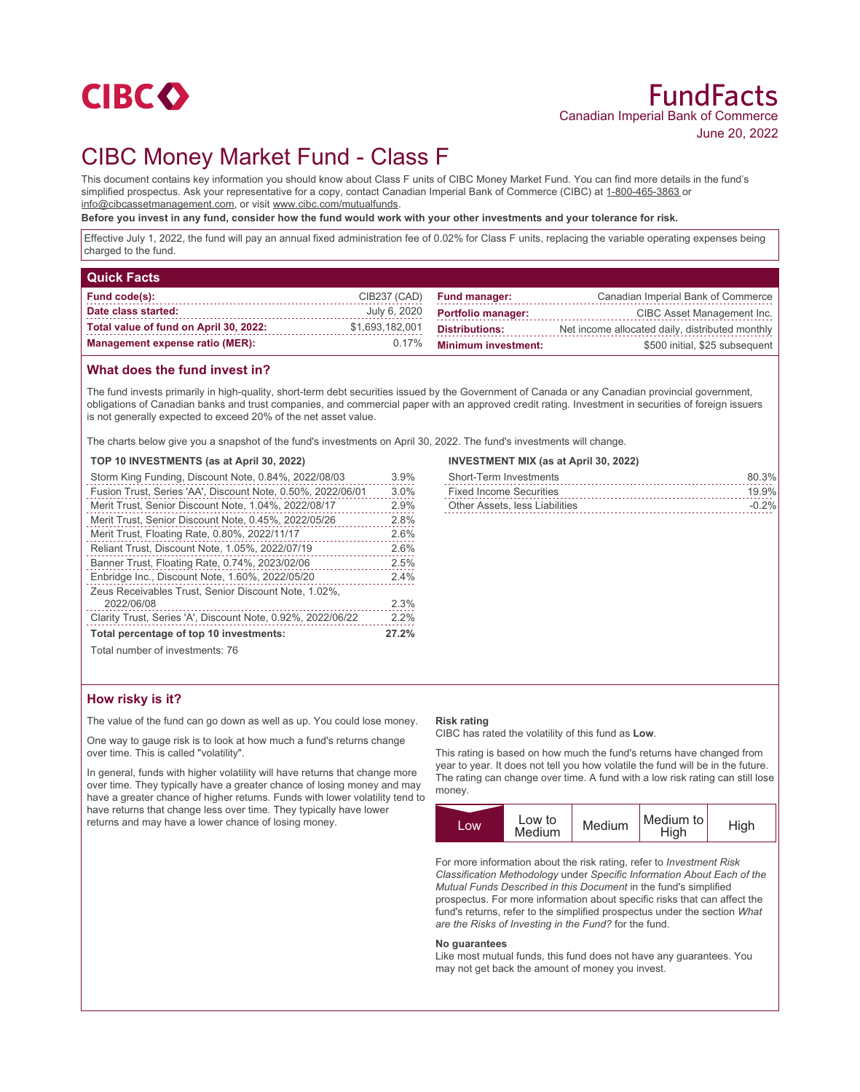

# CIBC Money Market Fund - Class F

This document contains key information you should know about Class F units of CIBC Money Market Fund. You can find more details in the fund's simplified prospectus. Ask your representative for a copy, contact Canadian Imperial Bank of Commerce (CIBC) at 1-800-465-3863 or info@cibcassetmanagement.com, or visit www.cibc.com/mutualfunds.

**Before you invest in any fund, consider how the fund would work with your other investments and your tolerance for risk.**

Effective July 1, 2022, the fund will pay an annual fixed administration fee of 0.02% for Class F units, replacing the variable operating expenses being charged to the fund.

| <b>Quick Facts</b>                     |                 |                            |                                                 |
|----------------------------------------|-----------------|----------------------------|-------------------------------------------------|
| <b>Fund code(s):</b>                   | CIB237 (CAD)    | <b>Fund manager:</b>       | Canadian Imperial Bank of Commerce              |
| Date class started:                    | July 6, 2020    | <b>Portfolio manager:</b>  | CIBC Asset Management Inc.                      |
| Total value of fund on April 30, 2022: | \$1,693,182,001 | <b>Distributions:</b>      | Net income allocated daily, distributed monthly |
| <b>Management expense ratio (MER):</b> | $0.17\%$        | <b>Minimum investment:</b> | \$500 initial, \$25 subsequent                  |

## **What does the fund invest in?**

The fund invests primarily in high-quality, short-term debt securities issued by the Government of Canada or any Canadian provincial government, obligations of Canadian banks and trust companies, and commercial paper with an approved credit rating. Investment in securities of foreign issuers is not generally expected to exceed 20% of the net asset value.

The charts below give you a snapshot of the fund's investments on April 30, 2022. The fund's investments will change.

#### **TOP 10 INVESTMENTS (as at April 30, 2022)**

| Storm King Funding, Discount Note, 0.84%, 2022/08/03        | 3.9%  |
|-------------------------------------------------------------|-------|
| Fusion Trust, Series 'AA', Discount Note, 0.50%, 2022/06/01 | 3.0%  |
| Merit Trust, Senior Discount Note, 1.04%, 2022/08/17        | 2.9%  |
| Merit Trust, Senior Discount Note, 0.45%, 2022/05/26        | 2.8%  |
| Merit Trust, Floating Rate, 0.80%, 2022/11/17               | 2.6%  |
| Reliant Trust, Discount Note, 1.05%, 2022/07/19             | 2.6%  |
| Banner Trust, Floating Rate, 0.74%, 2023/02/06              | 2.5%  |
| Enbridge Inc., Discount Note, 1.60%, 2022/05/20             | 2.4%  |
| Zeus Receivables Trust, Senior Discount Note, 1.02%,        |       |
| 2022/06/08                                                  | 2.3%  |
| Clarity Trust, Series 'A', Discount Note, 0.92%, 2022/06/22 | 2.2%  |
| Total percentage of top 10 investments:                     | 27.2% |
| Total number of investments: 76                             |       |

## **INVESTMENT MIX (as at April 30, 2022)**

| Short-Term Investments         | 80.3%   |
|--------------------------------|---------|
| <b>Fixed Income Securities</b> | 19.9%   |
| Other Assets, less Liabilities | $-0.2%$ |

## **How risky is it?**

The value of the fund can go down as well as up. You could lose money.

One way to gauge risk is to look at how much a fund's returns change over time. This is called "volatility".

In general, funds with higher volatility will have returns that change more over time. They typically have a greater chance of losing money and may have a greater chance of higher returns. Funds with lower volatility tend to have returns that change less over time. They typically have lower returns and may have a lower chance of losing money.

#### **Risk rating**

CIBC has rated the volatility of this fund as **Low**.

This rating is based on how much the fund's returns have changed from year to year. It does not tell you how volatile the fund will be in the future. The rating can change over time. A fund with a low risk rating can still lose money.



For more information about the risk rating, refer to *Investment Risk Classification Methodology* under *Specific Information About Each of the Mutual Funds Described in this Document* in the fund's simplified prospectus. For more information about specific risks that can affect the fund's returns, refer to the simplified prospectus under the section *What are the Risks of Investing in the Fund?* for the fund.

#### **No guarantees**

Like most mutual funds, this fund does not have any guarantees. You may not get back the amount of money you invest.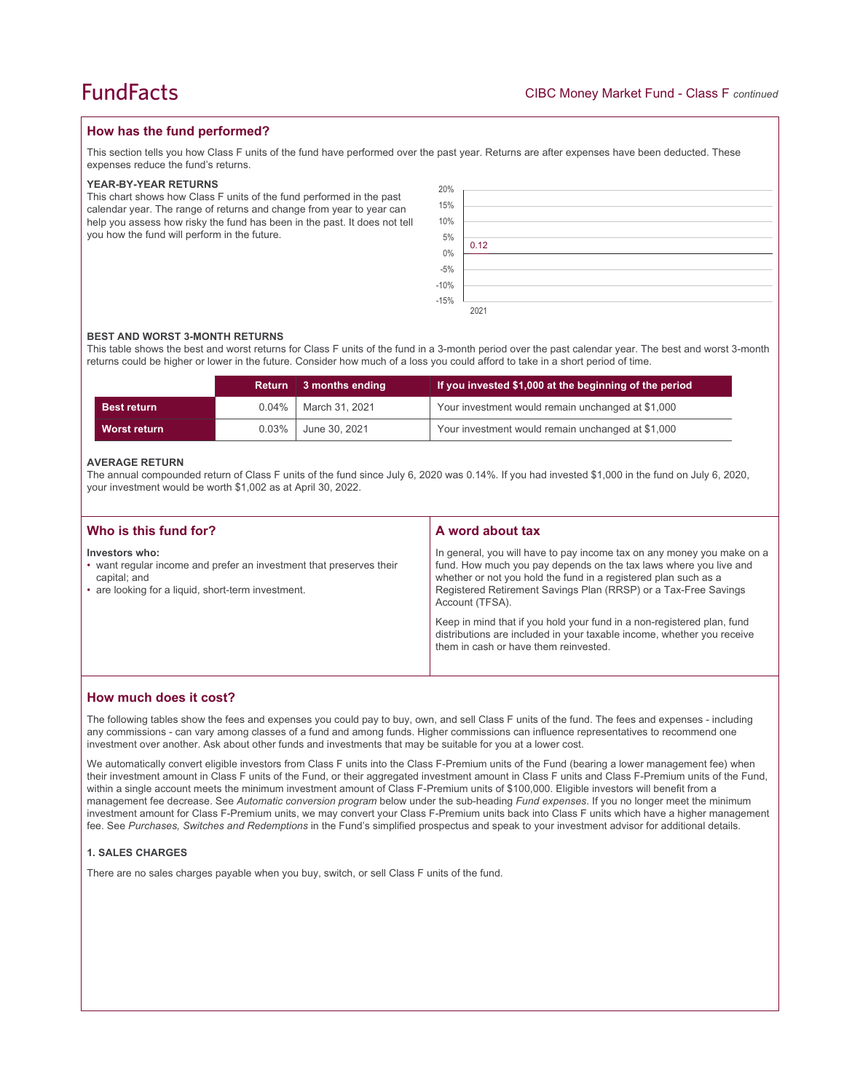## **How has the fund performed?**

This section tells you how Class F units of the fund have performed over the past year. Returns are after expenses have been deducted. These expenses reduce the fund's returns.

#### **YEAR-BY-YEAR RETURNS**

This chart shows how Class F units of the fund performed in the past calendar year. The range of returns and change from year to year can help you assess how risky the fund has been in the past. It does not tell you how the fund will perform in the future.

| 20%                  |      |
|----------------------|------|
| 15%                  |      |
| 10%                  |      |
| 5%                   |      |
|                      | 0.12 |
|                      |      |
|                      |      |
| $0\%$<br>-5%<br>-10% |      |
| $-15%$               |      |
|                      | 2021 |

#### **BEST AND WORST 3-MONTH RETURNS**

This table shows the best and worst returns for Class F units of the fund in a 3-month period over the past calendar year. The best and worst 3-month returns could be higher or lower in the future. Consider how much of a loss you could afford to take in a short period of time.

|                    |          | Return 3 months ending | If you invested \$1,000 at the beginning of the period |
|--------------------|----------|------------------------|--------------------------------------------------------|
| <b>Best return</b> | $0.04\%$ | March 31, 2021         | Your investment would remain unchanged at \$1,000      |
| Worst return       | $0.03\%$ | June 30, 2021          | Your investment would remain unchanged at \$1,000      |

#### **AVERAGE RETURN**

The annual compounded return of Class F units of the fund since July 6, 2020 was 0.14%. If you had invested \$1,000 in the fund on July 6, 2020, your investment would be worth \$1,002 as at April 30, 2022.

| Who is this fund for?                                                                                                                                       | A word about tax                                                                                                                                                                                                                                                                                     |  |
|-------------------------------------------------------------------------------------------------------------------------------------------------------------|------------------------------------------------------------------------------------------------------------------------------------------------------------------------------------------------------------------------------------------------------------------------------------------------------|--|
| Investors who:<br>• want regular income and prefer an investment that preserves their<br>capital; and<br>• are looking for a liquid, short-term investment. | In general, you will have to pay income tax on any money you make on a<br>fund. How much you pay depends on the tax laws where you live and<br>whether or not you hold the fund in a registered plan such as a<br>Registered Retirement Savings Plan (RRSP) or a Tax-Free Savings<br>Account (TFSA). |  |
|                                                                                                                                                             | Keep in mind that if you hold your fund in a non-registered plan, fund<br>distributions are included in your taxable income, whether you receive<br>them in cash or have them reinvested.                                                                                                            |  |

### **How much does it cost?**

The following tables show the fees and expenses you could pay to buy, own, and sell Class F units of the fund. The fees and expenses - including any commissions - can vary among classes of a fund and among funds. Higher commissions can influence representatives to recommend one investment over another. Ask about other funds and investments that may be suitable for you at a lower cost.

We automatically convert eligible investors from Class F units into the Class F-Premium units of the Fund (bearing a lower management fee) when their investment amount in Class F units of the Fund, or their aggregated investment amount in Class F units and Class F-Premium units of the Fund, within a single account meets the minimum investment amount of Class F-Premium units of \$100,000. Eligible investors will benefit from a management fee decrease. See *Automatic conversion program* below under the sub-heading *Fund expenses*. If you no longer meet the minimum investment amount for Class F-Premium units, we may convert your Class F-Premium units back into Class F units which have a higher management fee. See *Purchases, Switches and Redemptions* in the Fund's simplified prospectus and speak to your investment advisor for additional details.

#### **1. SALES CHARGES**

There are no sales charges payable when you buy, switch, or sell Class F units of the fund.